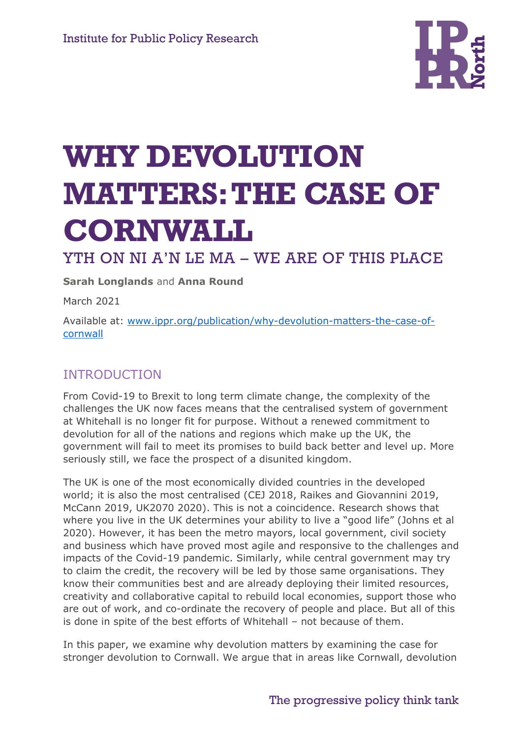

# **WHY DEVOLUTION MATTERS: THE CASE OF CORNWALL**

## YTH ON NI A'N LE MA – WE ARE OF THIS PLACE

**Sarah Longlands** and **Anna Round**

March 2021

Available at: [www.ippr.org/publication/why-devolution-matters-the-case-of](http://www.ippr.org/publication/why-devolution-matters-the-case-of-cornwall)[cornwall](http://www.ippr.org/publication/why-devolution-matters-the-case-of-cornwall)

#### INTRODUCTION

From Covid-19 to Brexit to long term climate change, the complexity of the challenges the UK now faces means that the centralised system of government at Whitehall is no longer fit for purpose. Without a renewed commitment to devolution for all of the nations and regions which make up the UK, the government will fail to meet its promises to build back better and level up. More seriously still, we face the prospect of a disunited kingdom.

The UK is one of the most economically divided countries in the developed world; it is also the most centralised (CEJ 2018, Raikes and Giovannini 2019, McCann 2019, UK2070 2020). This is not a coincidence. Research shows that where you live in the UK determines your ability to live a "good life" (Johns et al 2020). However, it has been the metro mayors, local government, civil society and business which have proved most agile and responsive to the challenges and impacts of the Covid-19 pandemic. Similarly, while central government may try to claim the credit, the recovery will be led by those same organisations. They know their communities best and are already deploying their limited resources, creativity and collaborative capital to rebuild local economies, support those who are out of work, and co-ordinate the recovery of people and place. But all of this is done in spite of the best efforts of Whitehall – not because of them.

In this paper, we examine why devolution matters by examining the case for stronger devolution to Cornwall. We argue that in areas like Cornwall, devolution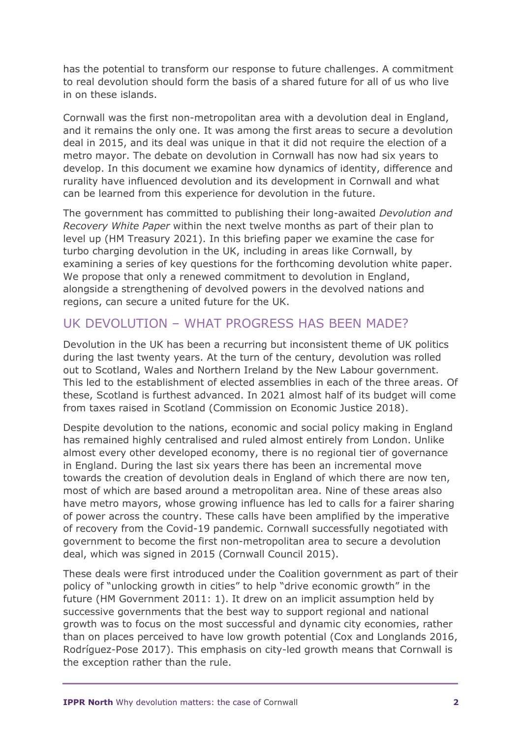has the potential to transform our response to future challenges. A commitment to real devolution should form the basis of a shared future for all of us who live in on these islands.

Cornwall was the first non-metropolitan area with a devolution deal in England, and it remains the only one. It was among the first areas to secure a devolution deal in 2015, and its deal was unique in that it did not require the election of a metro mayor. The debate on devolution in Cornwall has now had six years to develop. In this document we examine how dynamics of identity, difference and rurality have influenced devolution and its development in Cornwall and what can be learned from this experience for devolution in the future.

The government has committed to publishing their long-awaited *Devolution and Recovery White Paper* within the next twelve months as part of their plan to level up (HM Treasury 2021). In this briefing paper we examine the case for turbo charging devolution in the UK, including in areas like Cornwall, by examining a series of key questions for the forthcoming devolution white paper. We propose that only a renewed commitment to devolution in England, alongside a strengthening of devolved powers in the devolved nations and regions, can secure a united future for the UK.

#### UK DEVOLUTION – WHAT PROGRESS HAS BEEN MADE?

Devolution in the UK has been a recurring but inconsistent theme of UK politics during the last twenty years. At the turn of the century, devolution was rolled out to Scotland, Wales and Northern Ireland by the New Labour government. This led to the establishment of elected assemblies in each of the three areas. Of these, Scotland is furthest advanced. In 2021 almost half of its budget will come from taxes raised in Scotland (Commission on Economic Justice 2018).

Despite devolution to the nations, economic and social policy making in England has remained highly centralised and ruled almost entirely from London. Unlike almost every other developed economy, there is no regional tier of governance in England. During the last six years there has been an incremental move towards the creation of devolution deals in England of which there are now ten, most of which are based around a metropolitan area. Nine of these areas also have metro mayors, whose growing influence has led to calls for a fairer sharing of power across the country. These calls have been amplified by the imperative of recovery from the Covid-19 pandemic. Cornwall successfully negotiated with government to become the first non-metropolitan area to secure a devolution deal, which was signed in 2015 (Cornwall Council 2015).

These deals were first introduced under the Coalition government as part of their policy of "unlocking growth in cities" to help "drive economic growth" in the future (HM Government 2011: 1). It drew on an implicit assumption held by successive governments that the best way to support regional and national growth was to focus on the most successful and dynamic city economies, rather than on places perceived to have low growth potential (Cox and Longlands 2016, Rodríguez-Pose 2017). This emphasis on city-led growth means that Cornwall is the exception rather than the rule.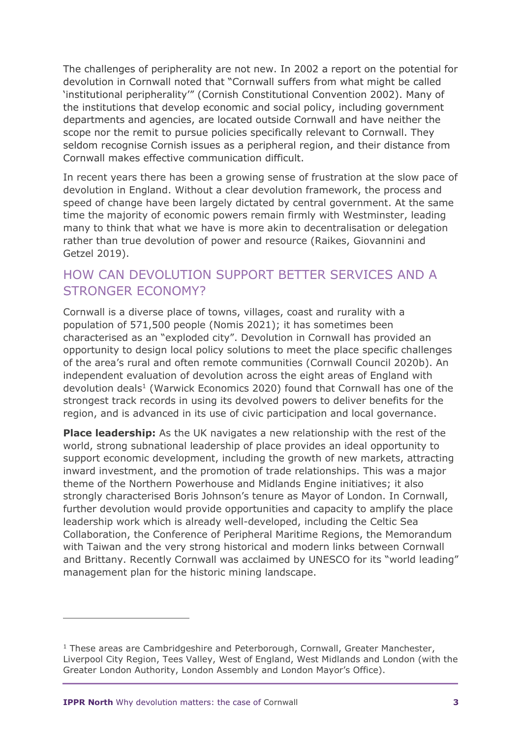The challenges of peripherality are not new. In 2002 a report on the potential for devolution in Cornwall noted that "Cornwall suffers from what might be called 'institutional peripherality'" (Cornish Constitutional Convention 2002). Many of the institutions that develop economic and social policy, including government departments and agencies, are located outside Cornwall and have neither the scope nor the remit to pursue policies specifically relevant to Cornwall. They seldom recognise Cornish issues as a peripheral region, and their distance from Cornwall makes effective communication difficult.

In recent years there has been a growing sense of frustration at the slow pace of devolution in England. Without a clear devolution framework, the process and speed of change have been largely dictated by central government. At the same time the majority of economic powers remain firmly with Westminster, leading many to think that what we have is more akin to decentralisation or delegation rather than true devolution of power and resource (Raikes, Giovannini and Getzel 2019).

#### HOW CAN DEVOLUTION SUPPORT BETTER SERVICES AND A STRONGER ECONOMY?

Cornwall is a diverse place of towns, villages, coast and rurality with a population of 571,500 people (Nomis 2021); it has sometimes been characterised as an "exploded city". Devolution in Cornwall has provided an opportunity to design local policy solutions to meet the place specific challenges of the area's rural and often remote communities (Cornwall Council 2020b). An independent evaluation of devolution across the eight areas of England with devolution deals<sup>1</sup> (Warwick Economics 2020) found that Cornwall has one of the strongest track records in using its devolved powers to deliver benefits for the region, and is advanced in its use of civic participation and local governance.

**Place leadership:** As the UK navigates a new relationship with the rest of the world, strong subnational leadership of place provides an ideal opportunity to support economic development, including the growth of new markets, attracting inward investment, and the promotion of trade relationships. This was a major theme of the Northern Powerhouse and Midlands Engine initiatives; it also strongly characterised Boris Johnson's tenure as Mayor of London. In Cornwall, further devolution would provide opportunities and capacity to amplify the place leadership work which is already well-developed, including the Celtic Sea Collaboration, the Conference of Peripheral Maritime Regions, the Memorandum with Taiwan and the very strong historical and modern links between Cornwall and Brittany. Recently Cornwall was acclaimed by UNESCO for its "world leading" management plan for the historic mining landscape.

 $1$  These areas are Cambridgeshire and Peterborough, Cornwall, Greater Manchester, Liverpool City Region, Tees Valley, West of England, West Midlands and London (with the Greater London Authority, London Assembly and London Mayor's Office).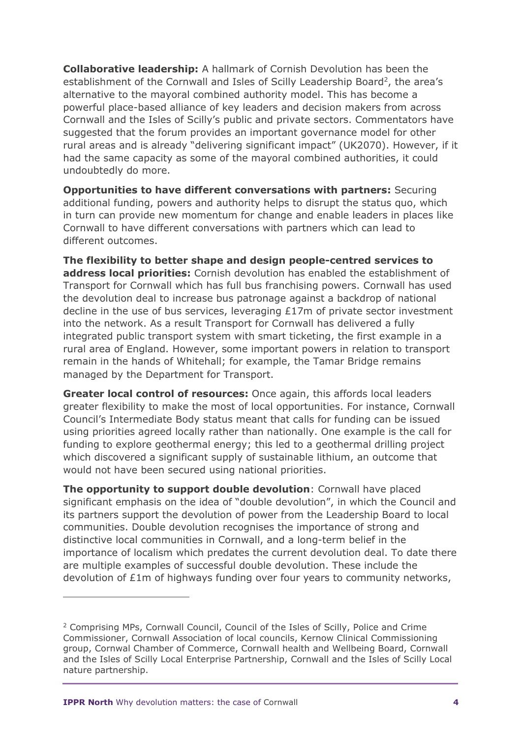**Collaborative leadership:** A hallmark of Cornish Devolution has been the establishment of the Cornwall and Isles of Scilly Leadership Board<sup>2</sup>, the area's alternative to the mayoral combined authority model. This has become a powerful place-based alliance of key leaders and decision makers from across Cornwall and the Isles of Scilly's public and private sectors. Commentators have suggested that the forum provides an important governance model for other rural areas and is already "delivering significant impact" (UK2070). However, if it had the same capacity as some of the mayoral combined authorities, it could undoubtedly do more.

**Opportunities to have different conversations with partners:** Securing additional funding, powers and authority helps to disrupt the status quo, which in turn can provide new momentum for change and enable leaders in places like Cornwall to have different conversations with partners which can lead to different outcomes.

**The flexibility to better shape and design people-centred services to address local priorities:** Cornish devolution has enabled the establishment of Transport for Cornwall which has full bus franchising powers. Cornwall has used the devolution deal to increase bus patronage against a backdrop of national decline in the use of bus services, leveraging £17m of private sector investment into the network. As a result Transport for Cornwall has delivered a fully integrated public transport system with smart ticketing, the first example in a rural area of England. However, some important powers in relation to transport remain in the hands of Whitehall; for example, the Tamar Bridge remains managed by the Department for Transport.

**Greater local control of resources:** Once again, this affords local leaders greater flexibility to make the most of local opportunities. For instance, Cornwall Council's Intermediate Body status meant that calls for funding can be issued using priorities agreed locally rather than nationally. One example is the call for funding to explore geothermal energy; this led to a geothermal drilling project which discovered a significant supply of sustainable lithium, an outcome that would not have been secured using national priorities.

**The opportunity to support double devolution**: Cornwall have placed significant emphasis on the idea of "double devolution", in which the Council and its partners support the devolution of power from the Leadership Board to local communities. Double devolution recognises the importance of strong and distinctive local communities in Cornwall, and a long-term belief in the importance of localism which predates the current devolution deal. To date there are multiple examples of successful double devolution. These include the devolution of £1m of highways funding over four years to community networks,

<sup>2</sup> Comprising MPs, Cornwall Council, Council of the Isles of Scilly, Police and Crime Commissioner, Cornwall Association of local councils, Kernow Clinical Commissioning group, Cornwal Chamber of Commerce, Cornwall health and Wellbeing Board, Cornwall and the Isles of Scilly Local Enterprise Partnership, Cornwall and the Isles of Scilly Local nature partnership.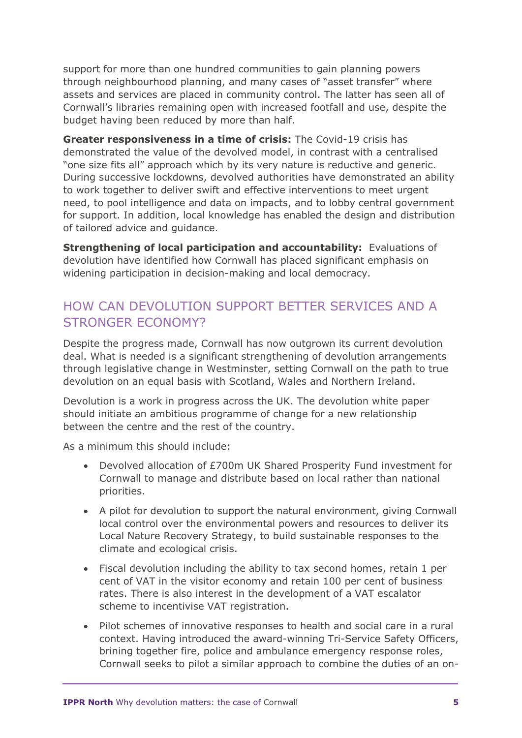support for more than one hundred communities to gain planning powers through neighbourhood planning, and many cases of "asset transfer" where assets and services are placed in community control. The latter has seen all of Cornwall's libraries remaining open with increased footfall and use, despite the budget having been reduced by more than half.

**Greater responsiveness in a time of crisis:** The Covid-19 crisis has demonstrated the value of the devolved model, in contrast with a centralised "one size fits all" approach which by its very nature is reductive and generic. During successive lockdowns, devolved authorities have demonstrated an ability to work together to deliver swift and effective interventions to meet urgent need, to pool intelligence and data on impacts, and to lobby central government for support. In addition, local knowledge has enabled the design and distribution of tailored advice and guidance.

**Strengthening of local participation and accountability:** Evaluations of devolution have identified how Cornwall has placed significant emphasis on widening participation in decision-making and local democracy.

#### HOW CAN DEVOLUTION SUPPORT BETTER SERVICES AND A STRONGER ECONOMY?

Despite the progress made, Cornwall has now outgrown its current devolution deal. What is needed is a significant strengthening of devolution arrangements through legislative change in Westminster, setting Cornwall on the path to true devolution on an equal basis with Scotland, Wales and Northern Ireland.

Devolution is a work in progress across the UK. The devolution white paper should initiate an ambitious programme of change for a new relationship between the centre and the rest of the country.

As a minimum this should include:

- Devolved allocation of £700m UK Shared Prosperity Fund investment for Cornwall to manage and distribute based on local rather than national priorities.
- A pilot for devolution to support the natural environment, giving Cornwall local control over the environmental powers and resources to deliver its Local Nature Recovery Strategy, to build sustainable responses to the climate and ecological crisis.
- Fiscal devolution including the ability to tax second homes, retain 1 per cent of VAT in the visitor economy and retain 100 per cent of business rates. There is also interest in the development of a VAT escalator scheme to incentivise VAT registration.
- Pilot schemes of innovative responses to health and social care in a rural context. Having introduced the award-winning Tri-Service Safety Officers, brining together fire, police and ambulance emergency response roles, Cornwall seeks to pilot a similar approach to combine the duties of an on-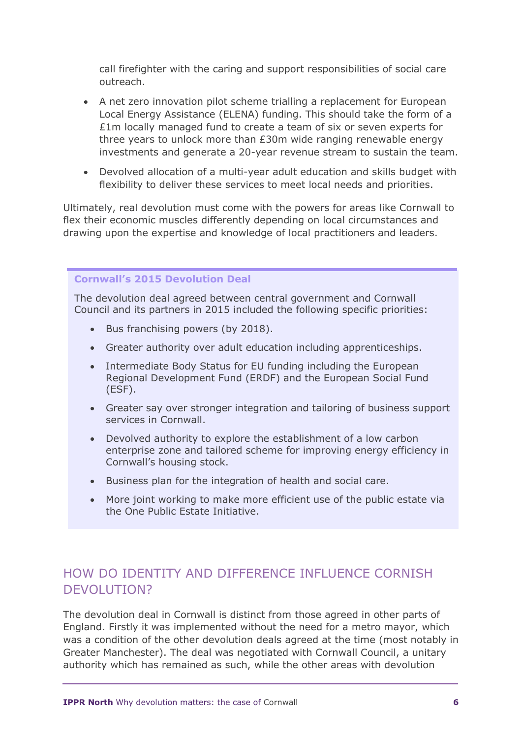call firefighter with the caring and support responsibilities of social care outreach.

- A net zero innovation pilot scheme trialling a replacement for European Local Energy Assistance (ELENA) funding. This should take the form of a £1m locally managed fund to create a team of six or seven experts for three years to unlock more than £30m wide ranging renewable energy investments and generate a 20-year revenue stream to sustain the team.
- Devolved allocation of a multi-year adult education and skills budget with flexibility to deliver these services to meet local needs and priorities.

Ultimately, real devolution must come with the powers for areas like Cornwall to flex their economic muscles differently depending on local circumstances and drawing upon the expertise and knowledge of local practitioners and leaders.

#### **Cornwall's 2015 Devolution Deal**

The devolution deal agreed between central government and Cornwall Council and its partners in 2015 included the following specific priorities:

- Bus franchising powers (by 2018).
- Greater authority over adult education including apprenticeships.
- Intermediate Body Status for EU funding including the European Regional Development Fund (ERDF) and the European Social Fund (ESF).
- Greater say over stronger integration and tailoring of business support services in Cornwall.
- Devolved authority to explore the establishment of a low carbon enterprise zone and tailored scheme for improving energy efficiency in Cornwall's housing stock.
- Business plan for the integration of health and social care.
- More joint working to make more efficient use of the public estate via the One Public Estate Initiative.

#### HOW DO IDENTITY AND DIFFERENCE INFLUENCE CORNISH DEVOLUTION?

The devolution deal in Cornwall is distinct from those agreed in other parts of England. Firstly it was implemented without the need for a metro mayor, which was a condition of the other devolution deals agreed at the time (most notably in Greater Manchester). The deal was negotiated with Cornwall Council, a unitary authority which has remained as such, while the other areas with devolution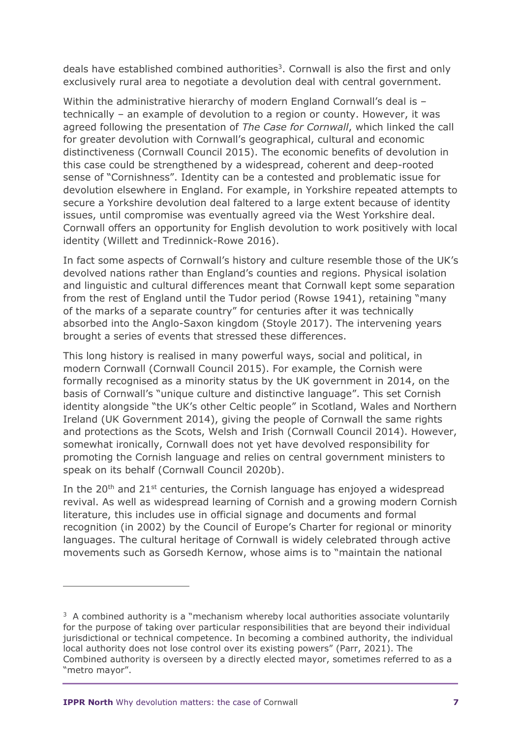deals have established combined authorities<sup>3</sup>. Cornwall is also the first and only exclusively rural area to negotiate a devolution deal with central government.

Within the administrative hierarchy of modern England Cornwall's deal is technically – an example of devolution to a region or county. However, it was agreed following the presentation of *The Case for Cornwall*, which linked the call for greater devolution with Cornwall's geographical, cultural and economic distinctiveness (Cornwall Council 2015). The economic benefits of devolution in this case could be strengthened by a widespread, coherent and deep-rooted sense of "Cornishness". Identity can be a contested and problematic issue for devolution elsewhere in England. For example, in Yorkshire repeated attempts to secure a Yorkshire devolution deal faltered to a large extent because of identity issues, until compromise was eventually agreed via the West Yorkshire deal. Cornwall offers an opportunity for English devolution to work positively with local identity (Willett and Tredinnick-Rowe 2016).

In fact some aspects of Cornwall's history and culture resemble those of the UK's devolved nations rather than England's counties and regions. Physical isolation and linguistic and cultural differences meant that Cornwall kept some separation from the rest of England until the Tudor period (Rowse 1941), retaining "many of the marks of a separate country" for centuries after it was technically absorbed into the Anglo-Saxon kingdom (Stoyle 2017). The intervening years brought a series of events that stressed these differences.

This long history is realised in many powerful ways, social and political, in modern Cornwall (Cornwall Council 2015). For example, the Cornish were formally recognised as a minority status by the UK government in 2014, on the basis of Cornwall's "unique culture and distinctive language". This set Cornish identity alongside "the UK's other Celtic people" in Scotland, Wales and Northern Ireland (UK Government 2014), giving the people of Cornwall the same rights and protections as the Scots, Welsh and Irish (Cornwall Council 2014). However, somewhat ironically, Cornwall does not yet have devolved responsibility for promoting the Cornish language and relies on central government ministers to speak on its behalf (Cornwall Council 2020b).

In the  $20<sup>th</sup>$  and  $21<sup>st</sup>$  centuries, the Cornish language has enjoyed a widespread revival. As well as widespread learning of Cornish and a growing modern Cornish literature, this includes use in official signage and documents and formal recognition (in 2002) by the Council of Europe's Charter for regional or minority languages. The cultural heritage of Cornwall is widely celebrated through active movements such as Gorsedh Kernow, whose aims is to "maintain the national

<sup>&</sup>lt;sup>3</sup> A combined authority is a "mechanism whereby local authorities associate voluntarily for the purpose of taking over particular responsibilities that are beyond their individual jurisdictional or technical competence. In becoming a combined authority, the individual local authority does not lose control over its existing powers" (Parr, 2021). The Combined authority is overseen by a directly elected mayor, sometimes referred to as a "metro mayor".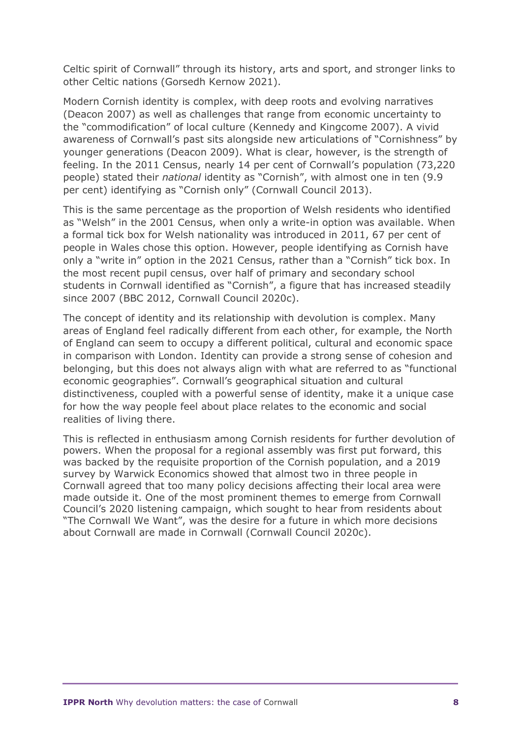Celtic spirit of Cornwall" through its history, arts and sport, and stronger links to other Celtic nations (Gorsedh Kernow 2021).

Modern Cornish identity is complex, with deep roots and evolving narratives (Deacon 2007) as well as challenges that range from economic uncertainty to the "commodification" of local culture (Kennedy and Kingcome 2007). A vivid awareness of Cornwall's past sits alongside new articulations of "Cornishness" by younger generations (Deacon 2009). What is clear, however, is the strength of feeling. In the 2011 Census, nearly 14 per cent of Cornwall's population (73,220 people) stated their *national* identity as "Cornish", with almost one in ten (9.9 per cent) identifying as "Cornish only" (Cornwall Council 2013).

This is the same percentage as the proportion of Welsh residents who identified as "Welsh" in the 2001 Census, when only a write-in option was available. When a formal tick box for Welsh nationality was introduced in 2011, 67 per cent of people in Wales chose this option. However, people identifying as Cornish have only a "write in" option in the 2021 Census, rather than a "Cornish" tick box. In the most recent pupil census, over half of primary and secondary school students in Cornwall identified as "Cornish", a figure that has increased steadily since 2007 (BBC 2012, Cornwall Council 2020c).

The concept of identity and its relationship with devolution is complex. Many areas of England feel radically different from each other, for example, the North of England can seem to occupy a different political, cultural and economic space in comparison with London. Identity can provide a strong sense of cohesion and belonging, but this does not always align with what are referred to as "functional economic geographies". Cornwall's geographical situation and cultural distinctiveness, coupled with a powerful sense of identity, make it a unique case for how the way people feel about place relates to the economic and social realities of living there.

This is reflected in enthusiasm among Cornish residents for further devolution of powers. When the proposal for a regional assembly was first put forward, this was backed by the requisite proportion of the Cornish population, and a 2019 survey by Warwick Economics showed that almost two in three people in Cornwall agreed that too many policy decisions affecting their local area were made outside it. One of the most prominent themes to emerge from Cornwall Council's 2020 listening campaign, which sought to hear from residents about "The Cornwall We Want", was the desire for a future in which more decisions about Cornwall are made in Cornwall (Cornwall Council 2020c).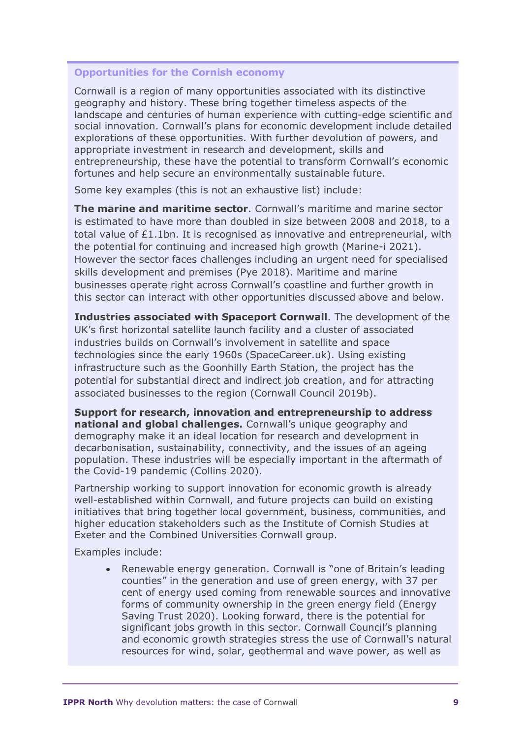#### **Opportunities for the Cornish economy**

Cornwall is a region of many opportunities associated with its distinctive geography and history. These bring together timeless aspects of the landscape and centuries of human experience with cutting-edge scientific and social innovation. Cornwall's plans for economic development include detailed explorations of these opportunities. With further devolution of powers, and appropriate investment in research and development, skills and entrepreneurship, these have the potential to transform Cornwall's economic fortunes and help secure an environmentally sustainable future.

Some key examples (this is not an exhaustive list) include:

**The marine and maritime sector**. Cornwall's maritime and marine sector is estimated to have more than doubled in size between 2008 and 2018, to a total value of £1.1bn. It is recognised as innovative and entrepreneurial, with the potential for continuing and increased high growth (Marine-i 2021). However the sector faces challenges including an urgent need for specialised skills development and premises (Pye 2018). Maritime and marine businesses operate right across Cornwall's coastline and further growth in this sector can interact with other opportunities discussed above and below.

**Industries associated with Spaceport Cornwall**. The development of the UK's first horizontal satellite launch facility and a cluster of associated industries builds on Cornwall's involvement in satellite and space technologies since the early 1960s (SpaceCareer.uk). Using existing infrastructure such as the Goonhilly Earth Station, the project has the potential for substantial direct and indirect job creation, and for attracting associated businesses to the region (Cornwall Council 2019b).

**Support for research, innovation and entrepreneurship to address national and global challenges.** Cornwall's unique geography and demography make it an ideal location for research and development in decarbonisation, sustainability, connectivity, and the issues of an ageing population. These industries will be especially important in the aftermath of the Covid-19 pandemic (Collins 2020).

Partnership working to support innovation for economic growth is already well-established within Cornwall, and future projects can build on existing initiatives that bring together local government, business, communities, and higher education stakeholders such as the Institute of Cornish Studies at Exeter and the Combined Universities Cornwall group.

Examples include:

• Renewable energy generation. Cornwall is "one of Britain's leading counties" in the generation and use of green energy, with 37 per cent of energy used coming from renewable sources and innovative forms of community ownership in the green energy field (Energy Saving Trust 2020). Looking forward, there is the potential for significant jobs growth in this sector. Cornwall Council's planning and economic growth strategies stress the use of Cornwall's natural resources for wind, solar, geothermal and wave power, as well as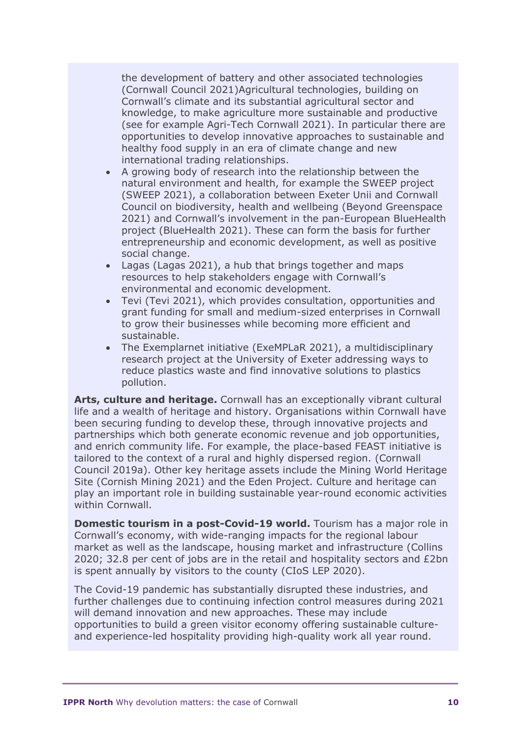the development of battery and other associated technologies (Cornwall Council 2021)Agricultural technologies, building on Cornwall's climate and its substantial agricultural sector and knowledge, to make agriculture more sustainable and productive (see for example Agri-Tech Cornwall 2021). In particular there are opportunities to develop innovative approaches to sustainable and healthy food supply in an era of climate change and new international trading relationships.

- A growing body of research into the relationship between the natural environment and health, for example the SWEEP project (SWEEP 2021), a collaboration between Exeter Unii and Cornwall Council on biodiversity, health and wellbeing (Beyond Greenspace 2021) and Cornwall's involvement in the pan-European BlueHealth project (BlueHealth 2021). These can form the basis for further entrepreneurship and economic development, as well as positive social change.
- Lagas (Lagas 2021), a hub that brings together and maps resources to help stakeholders engage with Cornwall's environmental and economic development.
- Tevi (Tevi 2021), which provides consultation, opportunities and grant funding for small and medium-sized enterprises in Cornwall to grow their businesses while becoming more efficient and sustainable.
- The Exemplarnet initiative (ExeMPLaR 2021), a multidisciplinary research project at the University of Exeter addressing ways to reduce plastics waste and find innovative solutions to plastics pollution.

**Arts, culture and heritage.** Cornwall has an exceptionally vibrant cultural life and a wealth of heritage and history. Organisations within Cornwall have been securing funding to develop these, through innovative projects and partnerships which both generate economic revenue and job opportunities, and enrich community life. For example, the place-based FEAST initiative is tailored to the context of a rural and highly dispersed region. (Cornwall Council 2019a). Other key heritage assets include the Mining World Heritage Site (Cornish Mining 2021) and the Eden Project. Culture and heritage can play an important role in building sustainable year-round economic activities within Cornwall.

**Domestic tourism in a post-Covid-19 world.** Tourism has a major role in Cornwall's economy, with wide-ranging impacts for the regional labour market as well as the landscape, housing market and infrastructure (Collins 2020; 32.8 per cent of jobs are in the retail and hospitality sectors and £2bn is spent annually by visitors to the county (CIoS LEP 2020).

The Covid-19 pandemic has substantially disrupted these industries, and further challenges due to continuing infection control measures during 2021 will demand innovation and new approaches. These may include opportunities to build a green visitor economy offering sustainable cultureand experience-led hospitality providing high-quality work all year round.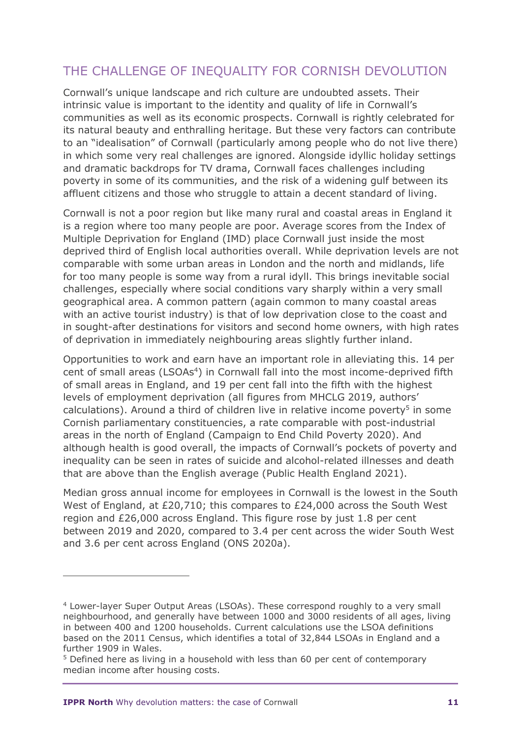## THE CHALLENGE OF INEQUALITY FOR CORNISH DEVOLUTION

Cornwall's unique landscape and rich culture are undoubted assets. Their intrinsic value is important to the identity and quality of life in Cornwall's communities as well as its economic prospects. Cornwall is rightly celebrated for its natural beauty and enthralling heritage. But these very factors can contribute to an "idealisation" of Cornwall (particularly among people who do not live there) in which some very real challenges are ignored. Alongside idyllic holiday settings and dramatic backdrops for TV drama, Cornwall faces challenges including poverty in some of its communities, and the risk of a widening gulf between its affluent citizens and those who struggle to attain a decent standard of living.

Cornwall is not a poor region but like many rural and coastal areas in England it is a region where too many people are poor. Average scores from the Index of Multiple Deprivation for England (IMD) place Cornwall just inside the most deprived third of English local authorities overall. While deprivation levels are not comparable with some urban areas in London and the north and midlands, life for too many people is some way from a rural idyll. This brings inevitable social challenges, especially where social conditions vary sharply within a very small geographical area. A common pattern (again common to many coastal areas with an active tourist industry) is that of low deprivation close to the coast and in sought-after destinations for visitors and second home owners, with high rates of deprivation in immediately neighbouring areas slightly further inland.

Opportunities to work and earn have an important role in alleviating this. 14 per cent of small areas (LSOAs<sup>4</sup>) in Cornwall fall into the most income-deprived fifth of small areas in England, and 19 per cent fall into the fifth with the highest levels of employment deprivation (all figures from MHCLG 2019, authors' calculations). Around a third of children live in relative income poverty<sup>5</sup> in some Cornish parliamentary constituencies, a rate comparable with post-industrial areas in the north of England (Campaign to End Child Poverty 2020). And although health is good overall, the impacts of Cornwall's pockets of poverty and inequality can be seen in rates of suicide and alcohol-related illnesses and death that are above than the English average (Public Health England 2021).

Median gross annual income for employees in Cornwall is the lowest in the South West of England, at £20,710; this compares to £24,000 across the South West region and £26,000 across England. This figure rose by just 1.8 per cent between 2019 and 2020, compared to 3.4 per cent across the wider South West and 3.6 per cent across England (ONS 2020a).

<sup>4</sup> Lower-layer Super Output Areas (LSOAs). These correspond roughly to a very small neighbourhood, and generally have between 1000 and 3000 residents of all ages, living in between 400 and 1200 households. Current calculations use the LSOA definitions based on the 2011 Census, which identifies a total of 32,844 LSOAs in England and a further 1909 in Wales.

<sup>5</sup> Defined here as living in a household with less than 60 per cent of contemporary median income after housing costs.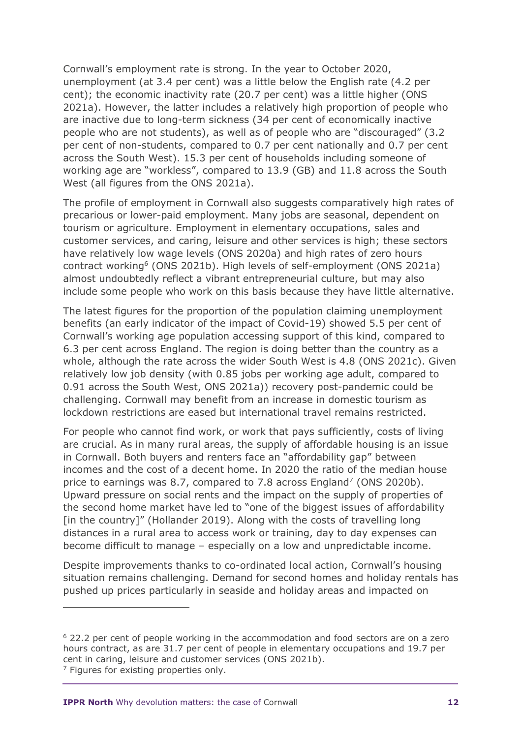Cornwall's employment rate is strong. In the year to October 2020, unemployment (at 3.4 per cent) was a little below the English rate (4.2 per cent); the economic inactivity rate (20.7 per cent) was a little higher (ONS 2021a). However, the latter includes a relatively high proportion of people who are inactive due to long-term sickness (34 per cent of economically inactive people who are not students), as well as of people who are "discouraged" (3.2 per cent of non-students, compared to 0.7 per cent nationally and 0.7 per cent across the South West). 15.3 per cent of households including someone of working age are "workless", compared to 13.9 (GB) and 11.8 across the South West (all figures from the ONS 2021a).

The profile of employment in Cornwall also suggests comparatively high rates of precarious or lower-paid employment. Many jobs are seasonal, dependent on tourism or agriculture. Employment in elementary occupations, sales and customer services, and caring, leisure and other services is high; these sectors have relatively low wage levels (ONS 2020a) and high rates of zero hours contract working<sup>6</sup> (ONS 2021b). High levels of self-employment (ONS 2021a) almost undoubtedly reflect a vibrant entrepreneurial culture, but may also include some people who work on this basis because they have little alternative.

The latest figures for the proportion of the population claiming unemployment benefits (an early indicator of the impact of Covid-19) showed 5.5 per cent of Cornwall's working age population accessing support of this kind, compared to 6.3 per cent across England. The region is doing better than the country as a whole, although the rate across the wider South West is 4.8 (ONS 2021c). Given relatively low job density (with 0.85 jobs per working age adult, compared to 0.91 across the South West, ONS 2021a)) recovery post-pandemic could be challenging. Cornwall may benefit from an increase in domestic tourism as lockdown restrictions are eased but international travel remains restricted.

For people who cannot find work, or work that pays sufficiently, costs of living are crucial. As in many rural areas, the supply of affordable housing is an issue in Cornwall. Both buyers and renters face an "affordability gap" between incomes and the cost of a decent home. In 2020 the ratio of the median house price to earnings was 8.7, compared to 7.8 across England<sup>7</sup> (ONS 2020b). Upward pressure on social rents and the impact on the supply of properties of the second home market have led to "one of the biggest issues of affordability [in the country]" (Hollander 2019). Along with the costs of travelling long distances in a rural area to access work or training, day to day expenses can become difficult to manage – especially on a low and unpredictable income.

Despite improvements thanks to co-ordinated local action, Cornwall's housing situation remains challenging. Demand for second homes and holiday rentals has pushed up prices particularly in seaside and holiday areas and impacted on

<sup>6</sup> 22.2 per cent of people working in the accommodation and food sectors are on a zero hours contract, as are 31.7 per cent of people in elementary occupations and 19.7 per cent in caring, leisure and customer services (ONS 2021b).  $<sup>7</sup>$  Figures for existing properties only.</sup>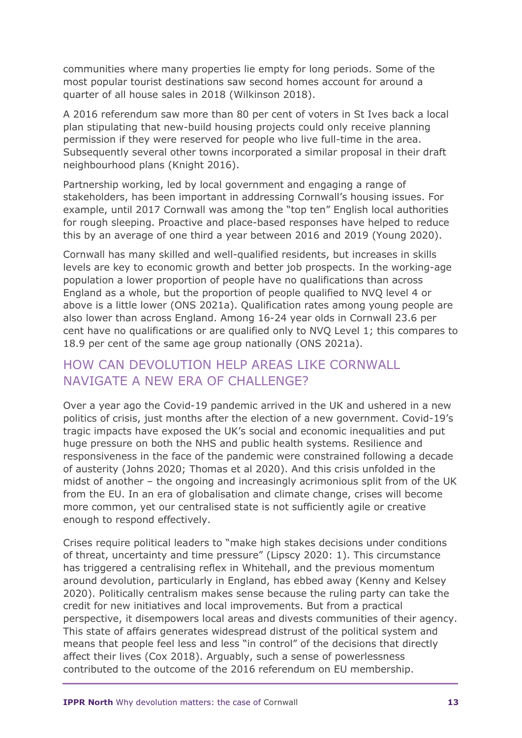communities where many properties lie empty for long periods. Some of the most popular tourist destinations saw second homes account for around a quarter of all house sales in 2018 (Wilkinson 2018).

A 2016 referendum saw more than 80 per cent of voters in St Ives back a local plan stipulating that new-build housing projects could only receive planning permission if they were reserved for people who live full-time in the area. Subsequently several other towns incorporated a similar proposal in their draft neighbourhood plans (Knight 2016).

Partnership working, led by local government and engaging a range of stakeholders, has been important in addressing Cornwall's housing issues. For example, until 2017 Cornwall was among the "top ten" English local authorities for rough sleeping. Proactive and place-based responses have helped to reduce this by an average of one third a year between 2016 and 2019 (Young 2020).

Cornwall has many skilled and well-qualified residents, but increases in skills levels are key to economic growth and better job prospects. In the working-age population a lower proportion of people have no qualifications than across England as a whole, but the proportion of people qualified to NVQ level 4 or above is a little lower (ONS 2021a). Qualification rates among young people are also lower than across England. Among 16-24 year olds in Cornwall 23.6 per cent have no qualifications or are qualified only to NVQ Level 1; this compares to 18.9 per cent of the same age group nationally (ONS 2021a).

#### HOW CAN DEVOLUTION HELP AREAS LIKE CORNWALL NAVIGATE A NEW FRA OF CHALLENGE?

Over a year ago the Covid-19 pandemic arrived in the UK and ushered in a new politics of crisis, just months after the election of a new government. Covid-19's tragic impacts have exposed the UK's social and economic inequalities and put huge pressure on both the NHS and public health systems. Resilience and responsiveness in the face of the pandemic were constrained following a decade of austerity (Johns 2020; Thomas et al 2020). And this crisis unfolded in the midst of another – the ongoing and increasingly acrimonious split from of the UK from the EU. In an era of globalisation and climate change, crises will become more common, yet our centralised state is not sufficiently agile or creative enough to respond effectively.

Crises require political leaders to "make high stakes decisions under conditions of threat, uncertainty and time pressure" (Lipscy 2020: 1). This circumstance has triggered a centralising reflex in Whitehall, and the previous momentum around devolution, particularly in England, has ebbed away (Kenny and Kelsey 2020). Politically centralism makes sense because the ruling party can take the credit for new initiatives and local improvements. But from a practical perspective, it disempowers local areas and divests communities of their agency. This state of affairs generates widespread distrust of the political system and means that people feel less and less "in control" of the decisions that directly affect their lives (Cox 2018). Arguably, such a sense of powerlessness contributed to the outcome of the 2016 referendum on EU membership.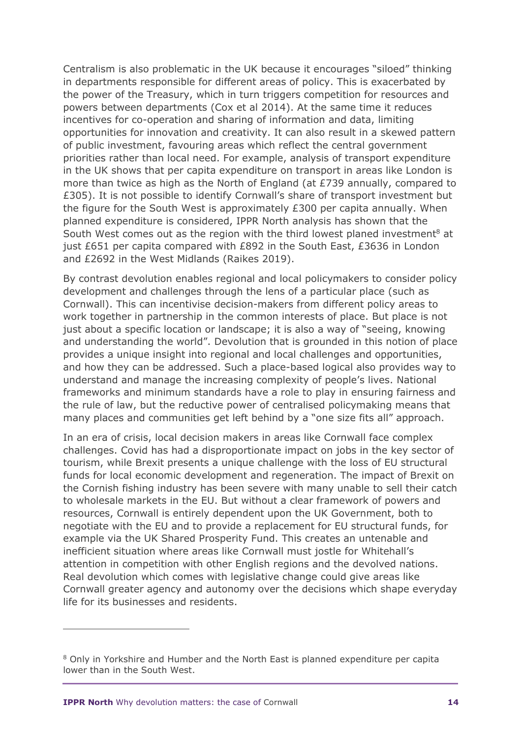Centralism is also problematic in the UK because it encourages "siloed" thinking in departments responsible for different areas of policy. This is exacerbated by the power of the Treasury, which in turn triggers competition for resources and powers between departments (Cox et al 2014). At the same time it reduces incentives for co-operation and sharing of information and data, limiting opportunities for innovation and creativity. It can also result in a skewed pattern of public investment, favouring areas which reflect the central government priorities rather than local need. For example, analysis of transport expenditure in the UK shows that per capita expenditure on transport in areas like London is more than twice as high as the North of England (at £739 annually, compared to £305). It is not possible to identify Cornwall's share of transport investment but the figure for the South West is approximately £300 per capita annually. When planned expenditure is considered, IPPR North analysis has shown that the South West comes out as the region with the third lowest planed investment<sup>8</sup> at just £651 per capita compared with £892 in the South East, £3636 in London and £2692 in the West Midlands (Raikes 2019).

By contrast devolution enables regional and local policymakers to consider policy development and challenges through the lens of a particular place (such as Cornwall). This can incentivise decision-makers from different policy areas to work together in partnership in the common interests of place. But place is not just about a specific location or landscape; it is also a way of "seeing, knowing and understanding the world". Devolution that is grounded in this notion of place provides a unique insight into regional and local challenges and opportunities, and how they can be addressed. Such a place-based logical also provides way to understand and manage the increasing complexity of people's lives. National frameworks and minimum standards have a role to play in ensuring fairness and the rule of law, but the reductive power of centralised policymaking means that many places and communities get left behind by a "one size fits all" approach.

In an era of crisis, local decision makers in areas like Cornwall face complex challenges. Covid has had a disproportionate impact on jobs in the key sector of tourism, while Brexit presents a unique challenge with the loss of EU structural funds for local economic development and regeneration. The impact of Brexit on the Cornish fishing industry has been severe with many unable to sell their catch to wholesale markets in the EU. But without a clear framework of powers and resources, Cornwall is entirely dependent upon the UK Government, both to negotiate with the EU and to provide a replacement for EU structural funds, for example via the UK Shared Prosperity Fund. This creates an untenable and inefficient situation where areas like Cornwall must jostle for Whitehall's attention in competition with other English regions and the devolved nations. Real devolution which comes with legislative change could give areas like Cornwall greater agency and autonomy over the decisions which shape everyday life for its businesses and residents.

<sup>8</sup> Only in Yorkshire and Humber and the North East is planned expenditure per capita lower than in the South West.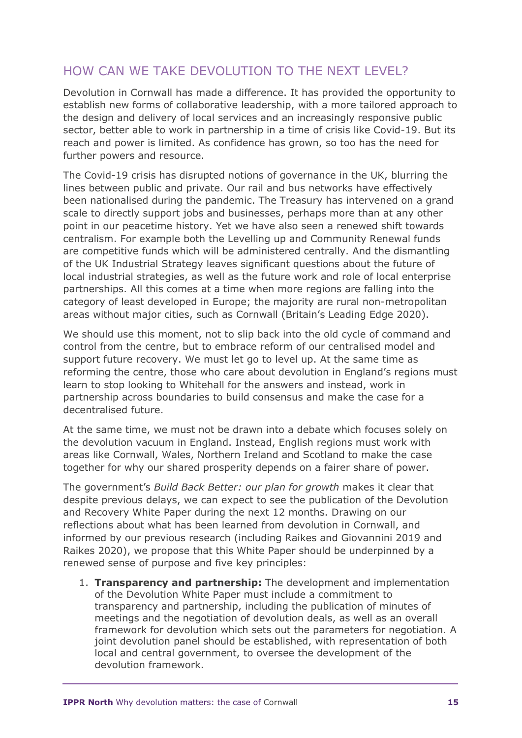## HOW CAN WE TAKE DEVOLUTION TO THE NEXT LEVEL?

Devolution in Cornwall has made a difference. It has provided the opportunity to establish new forms of collaborative leadership, with a more tailored approach to the design and delivery of local services and an increasingly responsive public sector, better able to work in partnership in a time of crisis like Covid-19. But its reach and power is limited. As confidence has grown, so too has the need for further powers and resource.

The Covid-19 crisis has disrupted notions of governance in the UK, blurring the lines between public and private. Our rail and bus networks have effectively been nationalised during the pandemic. The Treasury has intervened on a grand scale to directly support jobs and businesses, perhaps more than at any other point in our peacetime history. Yet we have also seen a renewed shift towards centralism. For example both the Levelling up and Community Renewal funds are competitive funds which will be administered centrally. And the dismantling of the UK Industrial Strategy leaves significant questions about the future of local industrial strategies, as well as the future work and role of local enterprise partnerships. All this comes at a time when more regions are falling into the category of least developed in Europe; the majority are rural non-metropolitan areas without major cities, such as Cornwall (Britain's Leading Edge 2020).

We should use this moment, not to slip back into the old cycle of command and control from the centre, but to embrace reform of our centralised model and support future recovery. We must let go to level up. At the same time as reforming the centre, those who care about devolution in England's regions must learn to stop looking to Whitehall for the answers and instead, work in partnership across boundaries to build consensus and make the case for a decentralised future.

At the same time, we must not be drawn into a debate which focuses solely on the devolution vacuum in England. Instead, English regions must work with areas like Cornwall, Wales, Northern Ireland and Scotland to make the case together for why our shared prosperity depends on a fairer share of power.

The government's *Build Back Better: our plan for growth* makes it clear that despite previous delays, we can expect to see the publication of the Devolution and Recovery White Paper during the next 12 months. Drawing on our reflections about what has been learned from devolution in Cornwall, and informed by our previous research (including Raikes and Giovannini 2019 and Raikes 2020), we propose that this White Paper should be underpinned by a renewed sense of purpose and five key principles:

1. **Transparency and partnership:** The development and implementation of the Devolution White Paper must include a commitment to transparency and partnership, including the publication of minutes of meetings and the negotiation of devolution deals, as well as an overall framework for devolution which sets out the parameters for negotiation. A joint devolution panel should be established, with representation of both local and central government, to oversee the development of the devolution framework.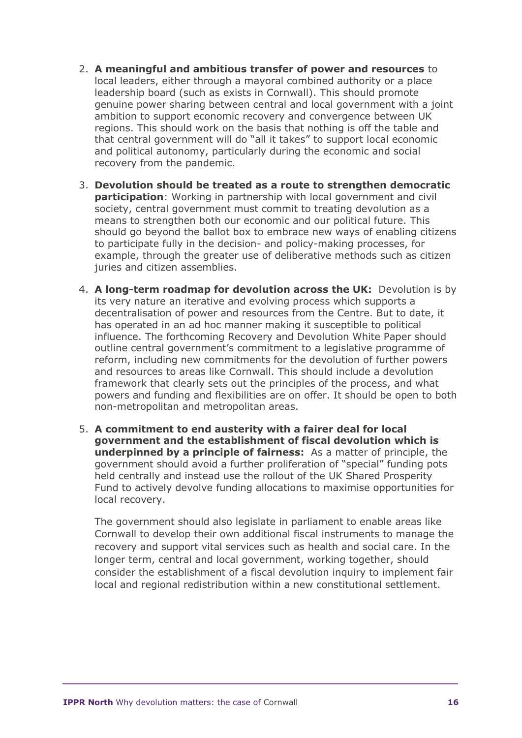- 2. **A meaningful and ambitious transfer of power and resources** to local leaders, either through a mayoral combined authority or a place leadership board (such as exists in Cornwall). This should promote genuine power sharing between central and local government with a joint ambition to support economic recovery and convergence between UK regions. This should work on the basis that nothing is off the table and that central government will do "all it takes" to support local economic and political autonomy, particularly during the economic and social recovery from the pandemic.
- 3. **Devolution should be treated as a route to strengthen democratic participation**: Working in partnership with local government and civil society, central government must commit to treating devolution as a means to strengthen both our economic and our political future. This should go beyond the ballot box to embrace new ways of enabling citizens to participate fully in the decision- and policy-making processes, for example, through the greater use of deliberative methods such as citizen juries and citizen assemblies.
- 4. **A long-term roadmap for devolution across the UK:** Devolution is by its very nature an iterative and evolving process which supports a decentralisation of power and resources from the Centre. But to date, it has operated in an ad hoc manner making it susceptible to political influence. The forthcoming Recovery and Devolution White Paper should outline central government's commitment to a legislative programme of reform, including new commitments for the devolution of further powers and resources to areas like Cornwall. This should include a devolution framework that clearly sets out the principles of the process, and what powers and funding and flexibilities are on offer. It should be open to both non-metropolitan and metropolitan areas.
- 5. **A commitment to end austerity with a fairer deal for local government and the establishment of fiscal devolution which is underpinned by a principle of fairness:** As a matter of principle, the government should avoid a further proliferation of "special" funding pots held centrally and instead use the rollout of the UK Shared Prosperity Fund to actively devolve funding allocations to maximise opportunities for local recovery.

The government should also legislate in parliament to enable areas like Cornwall to develop their own additional fiscal instruments to manage the recovery and support vital services such as health and social care. In the longer term, central and local government, working together, should consider the establishment of a fiscal devolution inquiry to implement fair local and regional redistribution within a new constitutional settlement.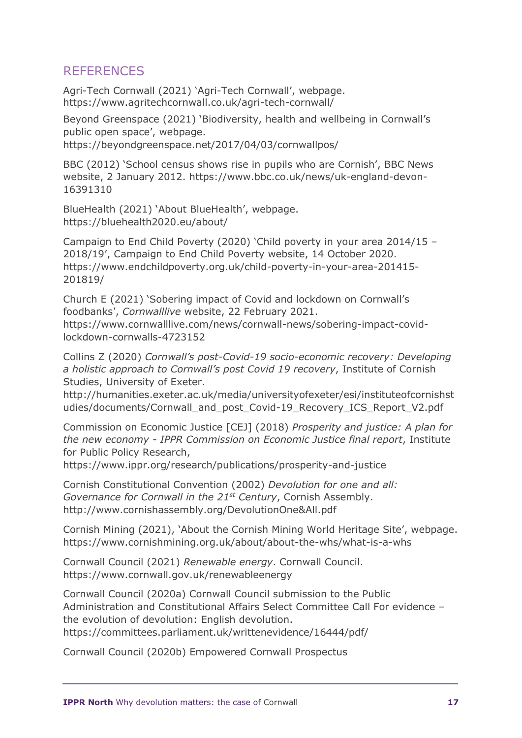#### **REFERENCES**

Agri-Tech Cornwall (2021) 'Agri-Tech Cornwall', webpage. https://www.agritechcornwall.co.uk/agri-tech-cornwall/

Beyond Greenspace (2021) 'Biodiversity, health and wellbeing in Cornwall's public open space', webpage.

https://beyondgreenspace.net/2017/04/03/cornwallpos/

BBC (2012) 'School census shows rise in pupils who are Cornish', BBC News website, 2 January 2012. https://www.bbc.co.uk/news/uk-england-devon-16391310

BlueHealth (2021) 'About BlueHealth', webpage. https://bluehealth2020.eu/about/

Campaign to End Child Poverty (2020) 'Child poverty in your area 2014/15 – 2018/19', Campaign to End Child Poverty website, 14 October 2020. https://www.endchildpoverty.org.uk/child-poverty-in-your-area-201415- 201819/

Church E (2021) 'Sobering impact of Covid and lockdown on Cornwall's foodbanks', *Cornwalllive* website, 22 February 2021. https://www.cornwalllive.com/news/cornwall-news/sobering-impact-covidlockdown-cornwalls-4723152

Collins Z (2020) *Cornwall's post-Covid-19 socio-economic recovery: Developing a holistic approach to Cornwall's post Covid 19 recovery*, Institute of Cornish Studies, University of Exeter.

http://humanities.exeter.ac.uk/media/universityofexeter/esi/instituteofcornishst udies/documents/Cornwall\_and\_post\_Covid-19\_Recovery\_ICS\_Report\_V2.pdf

Commission on Economic Justice [CEJ] (2018) *Prosperity and justice: A plan for the new economy - IPPR Commission on Economic Justice final report*, Institute for Public Policy Research,

https://www.ippr.org/research/publications/prosperity-and-justice

Cornish Constitutional Convention (2002) *Devolution for one and all: Governance for Cornwall in the 21st Century*, Cornish Assembly. http://www.cornishassembly.org/DevolutionOne&All.pdf

Cornish Mining (2021), 'About the Cornish Mining World Heritage Site', webpage. https://www.cornishmining.org.uk/about/about-the-whs/what-is-a-whs

Cornwall Council (2021) *Renewable energy*. Cornwall Council. https://www.cornwall.gov.uk/renewableenergy

Cornwall Council (2020a) Cornwall Council submission to the Public Administration and Constitutional Affairs Select Committee Call For evidence – the evolution of devolution: English devolution. https://committees.parliament.uk/writtenevidence/16444/pdf/

Cornwall Council (2020b) Empowered Cornwall Prospectus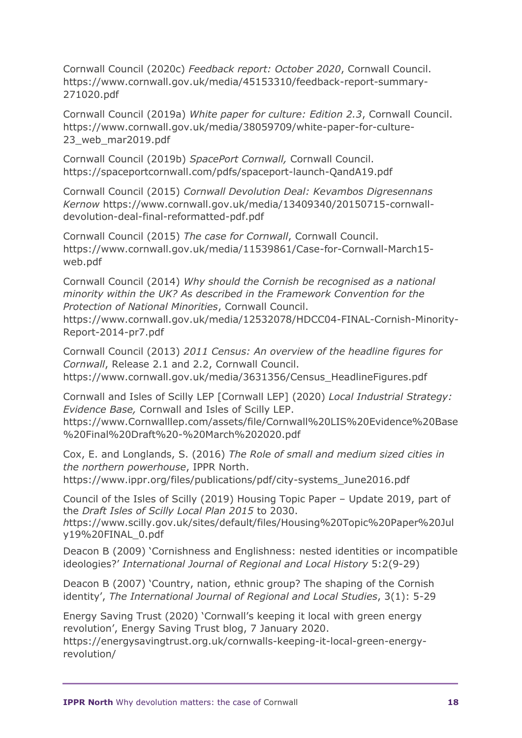Cornwall Council (2020c) *Feedback report: October 2020*, Cornwall Council. https://www.cornwall.gov.uk/media/45153310/feedback-report-summary-271020.pdf

Cornwall Council (2019a) *White paper for culture: Edition 2.3*, Cornwall Council. https://www.cornwall.gov.uk/media/38059709/white-paper-for-culture-23 web mar2019.pdf

Cornwall Council (2019b) *SpacePort Cornwall,* Cornwall Council. https://spaceportcornwall.com/pdfs/spaceport-launch-QandA19.pdf

Cornwall Council (2015) *Cornwall Devolution Deal: Kevambos Digresennans Kernow* https://www.cornwall.gov.uk/media/13409340/20150715-cornwalldevolution-deal-final-reformatted-pdf.pdf

Cornwall Council (2015) *The case for Cornwall*, Cornwall Council. https://www.cornwall.gov.uk/media/11539861/Case-for-Cornwall-March15 web.pdf

Cornwall Council (2014) *Why should the Cornish be recognised as a national minority within the UK? As described in the Framework Convention for the Protection of National Minorities*, Cornwall Council.

https://www.cornwall.gov.uk/media/12532078/HDCC04-FINAL-Cornish-Minority-Report-2014-pr7.pdf

Cornwall Council (2013) *2011 Census: An overview of the headline figures for Cornwall*, Release 2.1 and 2.2, Cornwall Council. https://www.cornwall.gov.uk/media/3631356/Census\_HeadlineFigures.pdf

Cornwall and Isles of Scilly LEP [Cornwall LEP] (2020) *Local Industrial Strategy: Evidence Base,* Cornwall and Isles of Scilly LEP. https://www.Cornwalllep.com/assets/file/Cornwall%20LIS%20Evidence%20Base %20Final%20Draft%20-%20March%202020.pdf

Cox, E. and Longlands, S. (2016) *The Role of small and medium sized cities in the northern powerhouse*, IPPR North. https://www.ippr.org/files/publications/pdf/city-systems\_June2016.pdf

Council of the Isles of Scilly (2019) Housing Topic Paper – Update 2019, part of the *Draft Isles of Scilly Local Plan 2015* to 2030.

*h*ttps://www.scilly.gov.uk/sites/default/files/Housing%20Topic%20Paper%20Jul y19%20FINAL\_0.pdf

Deacon B (2009) 'Cornishness and Englishness: nested identities or incompatible ideologies?' *International Journal of Regional and Local History* 5:2(9-29)

Deacon B (2007) 'Country, nation, ethnic group? The shaping of the Cornish identity', *The International Journal of Regional and Local Studies*, 3(1): 5-29

Energy Saving Trust (2020) 'Cornwall's keeping it local with green energy revolution', Energy Saving Trust blog, 7 January 2020.

https://energysavingtrust.org.uk/cornwalls-keeping-it-local-green-energyrevolution/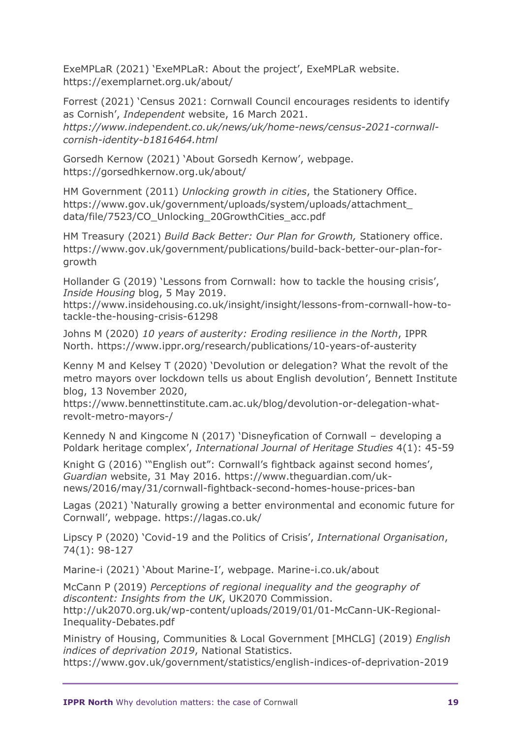ExeMPLaR (2021) 'ExeMPLaR: About the project', ExeMPLaR website. https://exemplarnet.org.uk/about/

Forrest (2021) 'Census 2021: Cornwall Council encourages residents to identify as Cornish', *Independent* website, 16 March 2021. *https://www.independent.co.uk/news/uk/home-news/census-2021-cornwallcornish-identity-b1816464.html*

Gorsedh Kernow (2021) 'About Gorsedh Kernow', webpage. https://gorsedhkernow.org.uk/about/

HM Government (2011) *Unlocking growth in cities*, the Stationery Office. https://www.gov.uk/government/uploads/system/uploads/attachment\_ data/file/7523/CO\_Unlocking\_20GrowthCities\_acc.pdf

HM Treasury (2021) *Build Back Better: Our Plan for Growth,* Stationery office. https://www.gov.uk/government/publications/build-back-better-our-plan-forgrowth

Hollander G (2019) 'Lessons from Cornwall: how to tackle the housing crisis', *Inside Housing* blog, 5 May 2019.

https://www.insidehousing.co.uk/insight/insight/lessons-from-cornwall-how-totackle-the-housing-crisis-61298

Johns M (2020) *10 years of austerity: Eroding resilience in the North*, IPPR North. https://www.ippr.org/research/publications/10-years-of-austerity

Kenny M and Kelsey T (2020) 'Devolution or delegation? What the revolt of the metro mayors over lockdown tells us about English devolution', Bennett Institute blog, 13 November 2020,

https://www.bennettinstitute.cam.ac.uk/blog/devolution-or-delegation-whatrevolt-metro-mayors-/

Kennedy N and Kingcome N (2017) 'Disneyfication of Cornwall – developing a Poldark heritage complex', *International Journal of Heritage Studies* 4(1): 45-59

Knight G (2016) '"English out": Cornwall's fightback against second homes', *Guardian* website, 31 May 2016. https://www.theguardian.com/uknews/2016/may/31/cornwall-fightback-second-homes-house-prices-ban

Lagas (2021) 'Naturally growing a better environmental and economic future for Cornwall', webpage. https://lagas.co.uk/

Lipscy P (2020) 'Covid-19 and the Politics of Crisis', *International Organisation*, 74(1): 98-127

Marine-i (2021) 'About Marine-I', webpage. Marine-i.co.uk/about

McCann P (2019) *Perceptions of regional inequality and the geography of discontent: Insights from the UK*, UK2070 Commission. http://uk2070.org.uk/wp-content/uploads/2019/01/01-McCann-UK-Regional-Inequality-Debates.pdf

Ministry of Housing, Communities & Local Government [MHCLG] (2019) *English indices of deprivation 2019*, National Statistics.

https://www.gov.uk/government/statistics/english-indices-of-deprivation-2019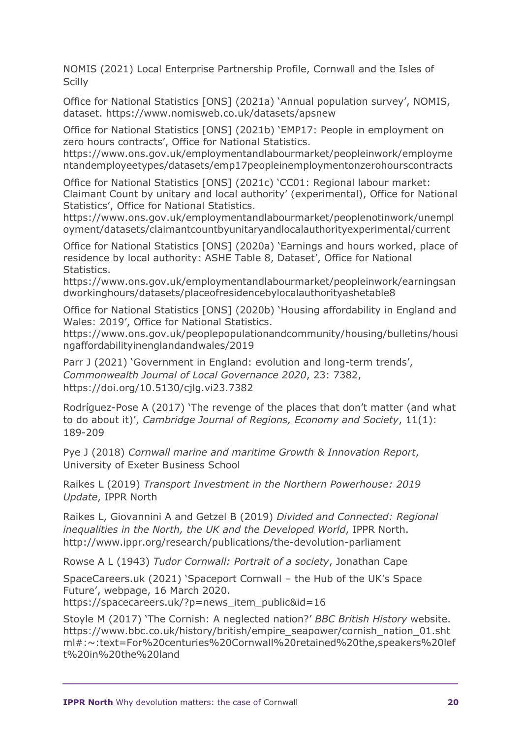NOMIS (2021) Local Enterprise Partnership Profile, Cornwall and the Isles of **Scilly** 

Office for National Statistics [ONS] (2021a) 'Annual population survey', NOMIS, dataset. https://www.nomisweb.co.uk/datasets/apsnew

Office for National Statistics [ONS] (2021b) 'EMP17: People in employment on zero hours contracts', Office for National Statistics.

https://www.ons.gov.uk/employmentandlabourmarket/peopleinwork/employme ntandemployeetypes/datasets/emp17peopleinemploymentonzerohourscontracts

Office for National Statistics [ONS] (2021c) 'CC01: Regional labour market: Claimant Count by unitary and local authority' (experimental), Office for National Statistics', Office for National Statistics.

https://www.ons.gov.uk/employmentandlabourmarket/peoplenotinwork/unempl oyment/datasets/claimantcountbyunitaryandlocalauthorityexperimental/current

Office for National Statistics [ONS] (2020a) 'Earnings and hours worked, place of residence by local authority: ASHE Table 8, Dataset', Office for National Statistics.

https://www.ons.gov.uk/employmentandlabourmarket/peopleinwork/earningsan dworkinghours/datasets/placeofresidencebylocalauthorityashetable8

Office for National Statistics [ONS] (2020b) 'Housing affordability in England and Wales: 2019', Office for National Statistics.

https://www.ons.gov.uk/peoplepopulationandcommunity/housing/bulletins/housi ngaffordabilityinenglandandwales/2019

Parr J (2021) 'Government in England: evolution and long-term trends', *Commonwealth Journal of Local Governance 2020*, 23: 7382, https://doi.org/10.5130/cjlg.vi23.7382

Rodríguez-Pose A (2017) 'The revenge of the places that don't matter (and what to do about it)', *Cambridge Journal of Regions, Economy and Society*, 11(1): 189-209

Pye J (2018) *Cornwall marine and maritime Growth & Innovation Report*, University of Exeter Business School

Raikes L (2019) *Transport Investment in the Northern Powerhouse: 2019 Update*, IPPR North

Raikes L, Giovannini A and Getzel B (2019) *Divided and Connected: Regional inequalities in the North, the UK and the Developed World*, IPPR North. http://www.ippr.org/research/publications/the-devolution-parliament

Rowse A L (1943) *Tudor Cornwall: Portrait of a society*, Jonathan Cape

SpaceCareers.uk (2021) 'Spaceport Cornwall – the Hub of the UK's Space Future', webpage, 16 March 2020.

https://spacecareers.uk/?p=news\_item\_public&id=16

Stoyle M (2017) 'The Cornish: A neglected nation?' *BBC British History* website. https://www.bbc.co.uk/history/british/empire\_seapower/cornish\_nation\_01.sht ml#:~:text=For%20centuries%20Cornwall%20retained%20the,speakers%20lef t%20in%20the%20land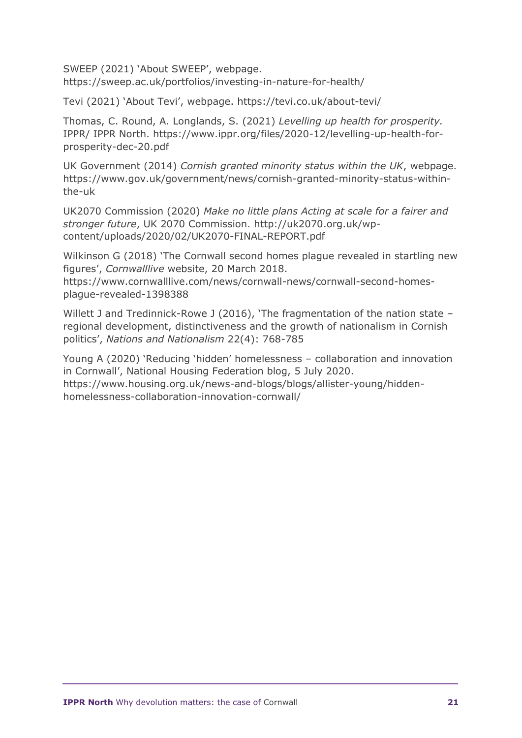SWEEP (2021) 'About SWEEP', webpage. https://sweep.ac.uk/portfolios/investing-in-nature-for-health/

Tevi (2021) 'About Tevi', webpage. https://tevi.co.uk/about-tevi/

Thomas, C. Round, A. Longlands, S. (2021) *Levelling up health for prosperity.*  IPPR/ IPPR North. https://www.ippr.org/files/2020-12/levelling-up-health-forprosperity-dec-20.pdf

UK Government (2014) *Cornish granted minority status within the UK*, webpage. https://www.gov.uk/government/news/cornish-granted-minority-status-withinthe-uk

UK2070 Commission (2020) *Make no little plans Acting at scale for a fairer and stronger future*, UK 2070 Commission. http://uk2070.org.uk/wpcontent/uploads/2020/02/UK2070-FINAL-REPORT.pdf

Wilkinson G (2018) 'The Cornwall second homes plague revealed in startling new figures', *Cornwalllive* website, 20 March 2018.

https://www.cornwalllive.com/news/cornwall-news/cornwall-second-homesplague-revealed-1398388

Willett J and Tredinnick-Rowe J (2016), 'The fragmentation of the nation state regional development, distinctiveness and the growth of nationalism in Cornish politics', *Nations and Nationalism* 22(4): 768-785

Young A (2020) 'Reducing 'hidden' homelessness – collaboration and innovation in Cornwall', National Housing Federation blog, 5 July 2020. https://www.housing.org.uk/news-and-blogs/blogs/allister-young/hiddenhomelessness-collaboration-innovation-cornwall/